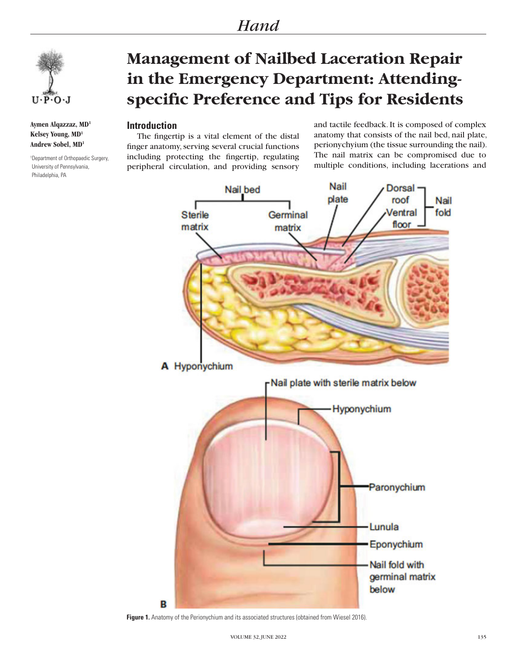

**Aymen Alqazzaz, MD1 Kelsey Young, MD1 Andrew Sobel, MD1**

1 Department of Orthopaedic Surgery, University of Pennsylvania, Philadelphia, PA

# **Management of Nailbed Laceration Repair in the Emergency Department: Attendingspecific Preference and Tips for Residents**

## **Introduction**

The fingertip is a vital element of the distal finger anatomy, serving several crucial functions including protecting the fingertip, regulating peripheral circulation, and providing sensory

and tactile feedback. It is composed of complex anatomy that consists of the nail bed, nail plate, perionychyium (the tissue surrounding the nail). The nail matrix can be compromised due to multiple conditions, including lacerations and



Figure 1. Anatomy of the Perionychium and its associated structures (obtained from Wiesel 2016).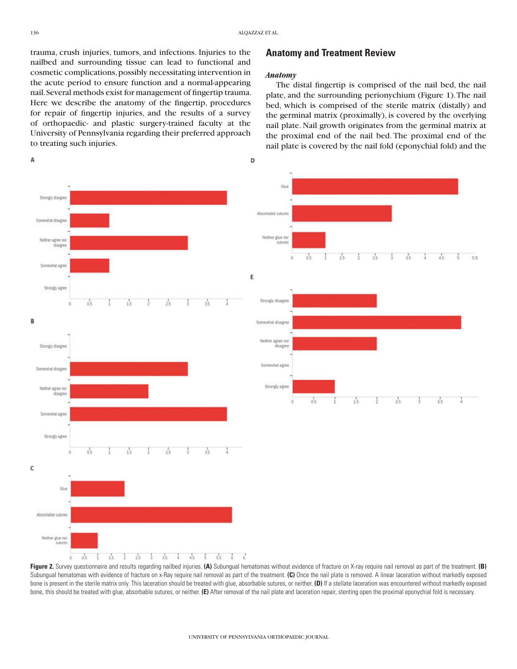D

trauma, crush injuries, tumors, and infections. Injuries to the nailbed and surrounding tissue can lead to functional and cosmetic complications, possibly necessitating intervention in the acute period to ensure function and a normal-appearing nail. Several methods exist for management of fingertip trauma. Here we describe the anatomy of the fingertip, procedures for repair of fingertip injuries, and the results of a survey of orthopaedic- and plastic surgery-trained faculty at the University of Pennsylvania regarding their preferred approach to treating such injuries.

## А



#### *Anatomy*

The distal fingertip is comprised of the nail bed, the nail plate, and the surrounding perionychium (Figure 1). The nail bed, which is comprised of the sterile matrix (distally) and the germinal matrix (proximally), is covered by the overlying nail plate. Nail growth originates from the germinal matrix at the proximal end of the nail bed. The proximal end of the nail plate is covered by the nail fold (eponychial fold) and the



Subungual hematomas with evidence of fracture on x-Ray require nail removal as part of the treatment. (C) Once the nail plate is removed. A linear laceration without markedly exposed bone is present in the sterile matrix only. This laceration should be treated with glue, absorbable sutures, or neither. **(D)** If a stellate laceration was encountered without markedly exposed bone, this should be treated with glue, absorbable sutures, or neither. **(E)** After removal of the nail plate and laceration repair, stenting open the proximal eponychial fold is necessary.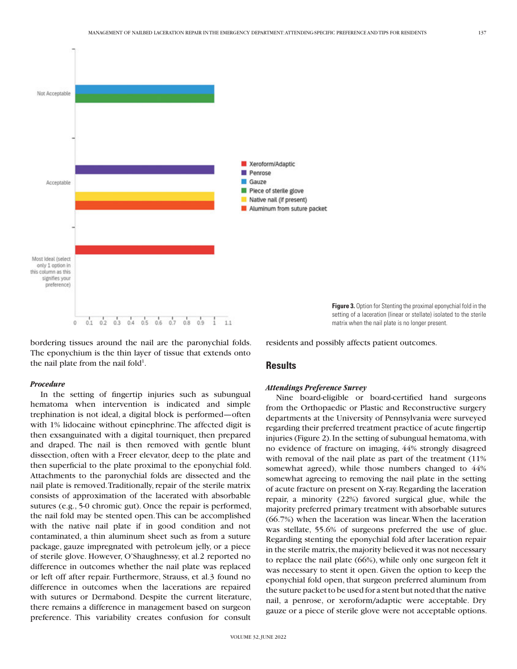

bordering tissues around the nail are the paronychial folds. The eponychium is the thin layer of tissue that extends onto the nail plate from the nail fold<sup>1</sup>.

#### *Procedure*

In the setting of fingertip injuries such as subungual hematoma when intervention is indicated and simple trephination is not ideal, a digital block is performed—often with 1% lidocaine without epinephrine. The affected digit is then exsanguinated with a digital tourniquet, then prepared and draped. The nail is then removed with gentle blunt dissection, often with a Freer elevator, deep to the plate and then superficial to the plate proximal to the eponychial fold. Attachments to the paronychial folds are dissected and the nail plate is removed. Traditionally, repair of the sterile matrix consists of approximation of the lacerated with absorbable sutures (e.g., 5-0 chromic gut). Once the repair is performed, the nail fold may be stented open. This can be accomplished with the native nail plate if in good condition and not contaminated, a thin aluminum sheet such as from a suture package, gauze impregnated with petroleum jelly, or a piece of sterile glove. However, O'Shaughnessy, et al.2 reported no difference in outcomes whether the nail plate was replaced or left off after repair. Furthermore, Strauss, et al.3 found no difference in outcomes when the lacerations are repaired with sutures or Dermabond. Despite the current literature, there remains a difference in management based on surgeon preference. This variability creates confusion for consult

**Figure 3.** Option for Stenting the proximal eponychial fold in the setting of a laceration (linear or stellate) isolated to the sterile matrix when the nail plate is no longer present.

residents and possibly affects patient outcomes.

### **Results**

#### *Attendings Preference Survey*

Nine board-eligible or board-certified hand surgeons from the Orthopaedic or Plastic and Reconstructive surgery departments at the University of Pennsylvania were surveyed regarding their preferred treatment practice of acute fingertip injuries (Figure 2). In the setting of subungual hematoma, with no evidence of fracture on imaging, 44% strongly disagreed with removal of the nail plate as part of the treatment (11% somewhat agreed), while those numbers changed to 44% somewhat agreeing to removing the nail plate in the setting of acute fracture on present on X-ray. Regarding the laceration repair, a minority (22%) favored surgical glue, while the majority preferred primary treatment with absorbable sutures (66.7%) when the laceration was linear. When the laceration was stellate, 55.6% of surgeons preferred the use of glue. Regarding stenting the eponychial fold after laceration repair in the sterile matrix, the majority believed it was not necessary to replace the nail plate (66%), while only one surgeon felt it was necessary to stent it open. Given the option to keep the eponychial fold open, that surgeon preferred aluminum from the suture packet to be used for a stent but noted that the native nail, a penrose, or xeroform/adaptic were acceptable. Dry gauze or a piece of sterile glove were not acceptable options.